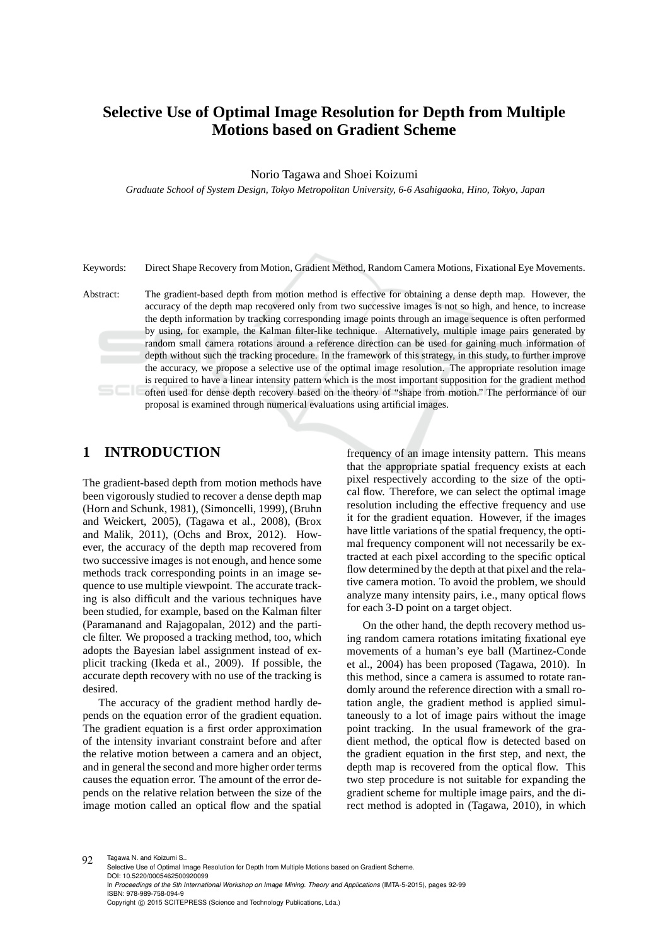# **Selective Use of Optimal Image Resolution for Depth from Multiple Motions based on Gradient Scheme**

Norio Tagawa and Shoei Koizumi

*Graduate School of System Design, Tokyo Metropolitan University, 6-6 Asahigaoka, Hino, Tokyo, Japan*

Keywords: Direct Shape Recovery from Motion, Gradient Method, Random Camera Motions, Fixational Eye Movements.

Abstract: The gradient-based depth from motion method is effective for obtaining a dense depth map. However, the accuracy of the depth map recovered only from two successive images is not so high, and hence, to increase the depth information by tracking corresponding image points through an image sequence is often performed by using, for example, the Kalman filter-like technique. Alternatively, multiple image pairs generated by random small camera rotations around a reference direction can be used for gaining much information of depth without such the tracking procedure. In the framework of this strategy, in this study, to further improve the accuracy, we propose a selective use of the optimal image resolution. The appropriate resolution image is required to have a linear intensity pattern which is the most important supposition for the gradient method often used for dense depth recovery based on the theory of "shape from motion." The performance of our proposal is examined through numerical evaluations using artificial images.

### **1 INTRODUCTION**

The gradient-based depth from motion methods have been vigorously studied to recover a dense depth map (Horn and Schunk, 1981), (Simoncelli, 1999), (Bruhn and Weickert, 2005), (Tagawa et al., 2008), (Brox and Malik, 2011), (Ochs and Brox, 2012). However, the accuracy of the depth map recovered from two successive images is not enough, and hence some methods track corresponding points in an image sequence to use multiple viewpoint. The accurate tracking is also difficult and the various techniques have been studied, for example, based on the Kalman filter (Paramanand and Rajagopalan, 2012) and the particle filter. We proposed a tracking method, too, which adopts the Bayesian label assignment instead of explicit tracking (Ikeda et al., 2009). If possible, the accurate depth recovery with no use of the tracking is desired.

The accuracy of the gradient method hardly depends on the equation error of the gradient equation. The gradient equation is a first order approximation of the intensity invariant constraint before and after the relative motion between a camera and an object, and in general the second and more higher order terms causes the equation error. The amount of the error depends on the relative relation between the size of the image motion called an optical flow and the spatial

frequency of an image intensity pattern. This means that the appropriate spatial frequency exists at each pixel respectively according to the size of the optical flow. Therefore, we can select the optimal image resolution including the effective frequency and use it for the gradient equation. However, if the images have little variations of the spatial frequency, the optimal frequency component will not necessarily be extracted at each pixel according to the specific optical flow determined by the depth at that pixel and the relative camera motion. To avoid the problem, we should analyze many intensity pairs, i.e., many optical flows for each 3-D point on a target object.

On the other hand, the depth recovery method using random camera rotations imitating fixational eye movements of a human's eye ball (Martinez-Conde et al., 2004) has been proposed (Tagawa, 2010). In this method, since a camera is assumed to rotate randomly around the reference direction with a small rotation angle, the gradient method is applied simultaneously to a lot of image pairs without the image point tracking. In the usual framework of the gradient method, the optical flow is detected based on the gradient equation in the first step, and next, the depth map is recovered from the optical flow. This two step procedure is not suitable for expanding the gradient scheme for multiple image pairs, and the direct method is adopted in (Tagawa, 2010), in which

92 Tagawa N. and Koizumi S.

Selective Use of Optimal Image Resolution for Depth from Multiple Motions based on Gradient Scheme. DOI: 10.5220/0005462500920099 In *Proceedings of the 5th International Workshop on Image Mining. Theory and Applications* (IMTA-5-2015), pages 92-99 ISBN: 978-989-758-094-9 Copyright © 2015 SCITEPRESS (Science and Technology Publications, Lda.)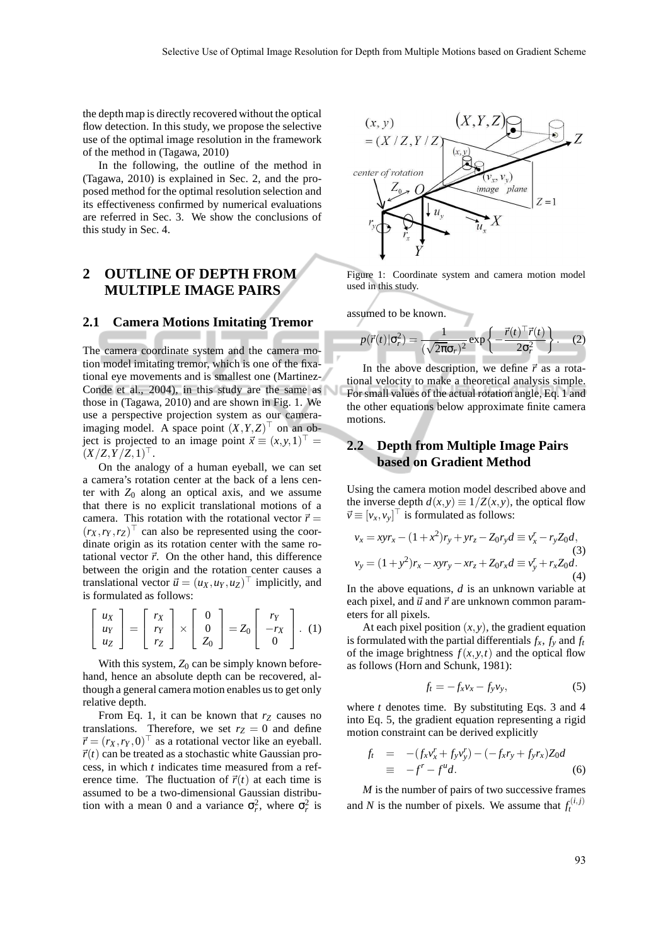the depth map is directly recovered without the optical flow detection. In this study, we propose the selective use of the optimal image resolution in the framework of the method in (Tagawa, 2010)

In the following, the outline of the method in (Tagawa, 2010) is explained in Sec. 2, and the proposed method for the optimal resolution selection and its effectiveness confirmed by numerical evaluations are referred in Sec. 3. We show the conclusions of this study in Sec. 4.

### **2 OUTLINE OF DEPTH FROM MULTIPLE IMAGE PAIRS**

#### **2.1 Camera Motions Imitating Tremor**

The camera coordinate system and the camera motion model imitating tremor, which is one of the fixational eye movements and is smallest one (Martinez-Conde et al., 2004), in this study are the same as those in (Tagawa, 2010) and are shown in Fig. 1. We use a perspective projection system as our cameraimaging model. A space point  $(X, Y, Z)$ <sup> $\perp$ </sup> on an object is projected to an image point  $\vec{x} \equiv (x, y, 1)^\top =$  $(X/Z, Y/Z, 1)$ <sup> $\perp$ </sup>.

On the analogy of a human eyeball, we can set a camera's rotation center at the back of a lens center with  $Z_0$  along an optical axis, and we assume that there is no explicit translational motions of a camera. This rotation with the rotational vector  $\vec{r}$  =  $(r_X, r_Y, r_Z)$  can also be represented using the coordinate origin as its rotation center with the same rotational vector  $\vec{r}$ . On the other hand, this difference between the origin and the rotation center causes a translational vector  $\vec{u} = (u_X, u_Y, u_Z)^\top$  implicitly, and is formulated as follows:

$$
\begin{bmatrix} u_X \\ u_Y \\ u_Z \end{bmatrix} = \begin{bmatrix} r_X \\ r_Y \\ r_Z \end{bmatrix} \times \begin{bmatrix} 0 \\ 0 \\ Z_0 \end{bmatrix} = Z_0 \begin{bmatrix} r_Y \\ -r_X \\ 0 \end{bmatrix}.
$$
 (1)

With this system,  $Z_0$  can be simply known beforehand, hence an absolute depth can be recovered, although a general camera motion enables us to get only relative depth.

From Eq. 1, it can be known that  $r_Z$  causes no translations. Therefore, we set  $r_Z = 0$  and define  $\vec{r} = (r_X, r_Y, 0)$  as a rotational vector like an eyeball.  $\vec{r}(t)$  can be treated as a stochastic white Gaussian process, in which *t* indicates time measured from a reference time. The fluctuation of  $\vec{r}(t)$  at each time is assumed to be a two-dimensional Gaussian distribution with a mean 0 and a variance  $\sigma_r^2$ , where  $\sigma_r^2$  is



Figure 1: Coordinate system and camera motion model used in this study.

assumed to be known.

$$
p(\vec{r}(t)|\sigma_r^2) = \frac{1}{(\sqrt{2\pi}\sigma_r)^2} \exp\left\{-\frac{\vec{r}(t)^{\top}\vec{r}(t)}{2\sigma_r^2}\right\}.
$$
 (2)

In the above description, we define  $\vec{r}$  as a rotational velocity to make a theoretical analysis simple. For small values of the actual rotation angle, Eq. 1 and the other equations below approximate finite camera motions.

#### **2.2 Depth from Multiple Image Pairs based on Gradient Method**

Using the camera motion model described above and the inverse depth  $d(x, y) \equiv 1/Z(x, y)$ , the optical flow  $\vec{v} \equiv [v_x, v_y]$ <sup> $\perp$ </sup> is formulated as follows:

$$
v_x = x y r_x - (1 + x^2) r_y + y r_z - Z_0 r_y d \equiv v_x^r - r_y Z_0 d,
$$
  
(3)  

$$
v_y = (1 + y^2) r_x - x y r_y - x r_z + Z_0 r_x d \equiv v_y^r + r_x Z_0 d.
$$
  
(4)

In the above equations, *d* is an unknown variable at each pixel, and  $\vec{u}$  and  $\vec{r}$  are unknown common parameters for all pixels.

At each pixel position  $(x, y)$ , the gradient equation is formulated with the partial differentials  $f_x$ ,  $f_y$  and  $f_t$ of the image brightness  $f(x, y, t)$  and the optical flow as follows (Horn and Schunk, 1981):

$$
f_t = -f_x v_x - f_y v_y, \tag{5}
$$

where  $t$  denotes time. By substituting Eqs. 3 and 4 into Eq. 5, the gradient equation representing a rigid motion constraint can be derived explicitly

$$
f_t = -(f_x v_x^r + f_y v_y^r) - (-f_x r_y + f_y r_x) Z_0 d
$$
  
\n
$$
\equiv -f^r - f^u d.
$$
 (6)

*M* is the number of pairs of two successive frames and *N* is the number of pixels. We assume that  $f_t^{(i,j)}$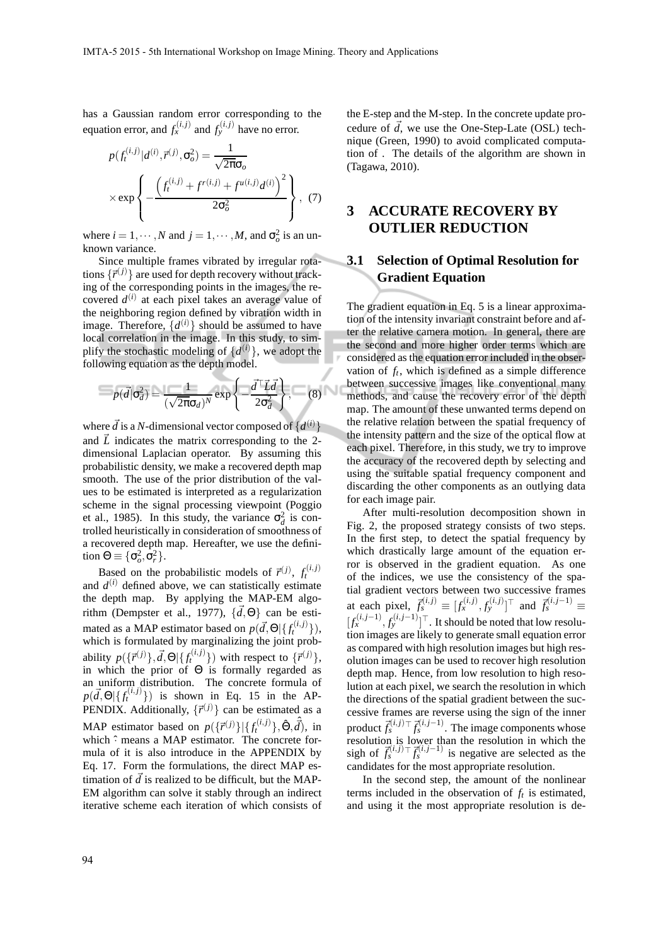has a Gaussian random error corresponding to the equation error, and  $f_x^{(i,j)}$  and  $f_y^{(i,j)}$  have no error.

$$
p(f_t^{(i,j)}|d^{(i)}, \vec{r}^{(j)}, \sigma_o^2) = \frac{1}{\sqrt{2\pi}\sigma_o}
$$

$$
\times \exp\left\{-\frac{\left(f_t^{(i,j)} + f^{(i,j)} + f^{u(i,j)}d^{(i)}\right)^2}{2\sigma_o^2}\right\}, (7)
$$

where  $i = 1, \dots, N$  and  $j = 1, \dots, M$ , and  $\sigma_o^2$  is an unknown variance.

Since multiple frames vibrated by irregular rotations  $\{\vec{r}^{(j)}\}$  are used for depth recovery without tracking of the corresponding points in the images, the recovered  $d^{(i)}$  at each pixel takes an average value of the neighboring region defined by vibration width in image. Therefore,  $\{d^{(i)}\}$  should be assumed to have local correlation in the image. In this study, to simplify the stochastic modeling of  $\{d^{(i)}\}$ , we adopt the following equation as the depth model.

$$
p(\vec{d}|\sigma_d^2) = \frac{1}{(\sqrt{2\pi}\sigma_d)^N} \exp\left\{-\frac{\vec{d}^\top \vec{L} \vec{d}}{2\sigma_d^2}\right\},\qquad(8)
$$

where  $\vec{d}$  is a *N*-dimensional vector composed of  $\{d^{(i)}\}$ and  $\vec{L}$  indicates the matrix corresponding to the 2dimensional Laplacian operator. By assuming this probabilistic density, we make a recovered depth map smooth. The use of the prior distribution of the values to be estimated is interpreted as a regularization scheme in the signal processing viewpoint (Poggio et al., 1985). In this study, the variance  $\sigma_d^2$  is controlled heuristically in consideration of smoothness of a recovered depth map. Hereafter, we use the definition  $\Theta \equiv {\{\sigma_o^2, \sigma_r^2\}}$ .

Based on the probabilistic models of  $\vec{r}^{(j)}$ ,  $f_t^{(i,j)}$ and  $d^{(i)}$  defined above, we can statistically estimate the depth map. By applying the MAP-EM algorithm (Dempster et al., 1977),  $\{\vec{d}, \Theta\}$  can be estimated as a MAP estimator based on  $p(\vec{d}, \Theta | \{f_t^{(i,j)}\})$ , which is formulated by marginalizing the joint probability  $p(\{\vec{r}^{(j)}\}, \vec{d}, \Theta | \{f_t^{(i,j)}\})$  with respect to  $\{\vec{r}^{(j)}\},$ in which the prior of  $\Theta$  is formally regarded as an uniform distribution. The concrete formula of  $p(\vec{d}, \Theta | \{f_t^{(i,j)}\})$  is shown in Eq. 15 in the AP-PENDIX. Additionally,  $\{\vec{r}^{(j)}\}$  can be estimated as a MAP estimator based on  $p({\{\vec{r}^{(j)}\}}|{\{f_t^{(i,j)}\}}, \hat{\Theta}, \hat{\vec{d}})$ , in which  $\hat{\cdot}$  means a MAP estimator. The concrete formula of it is also introduce in the APPENDIX by Eq. 17. Form the formulations, the direct MAP estimation of  $\vec{d}$  is realized to be difficult, but the MAP-EM algorithm can solve it stably through an indirect iterative scheme each iteration of which consists of

the E-step and the M-step. In the concrete update procedure of  $\overrightarrow{d}$ , we use the One-Step-Late (OSL) technique (Green, 1990) to avoid complicated computation of . The details of the algorithm are shown in (Tagawa, 2010).

## **3 ACCURATE RECOVERY BY OUTLIER REDUCTION**

#### **3.1 Selection of Optimal Resolution for Gradient Equation**

The gradient equation in Eq. 5 is a linear approximation of the intensity invariant constraint before and after the relative camera motion. In general, there are the second and more higher order terms which are considered as the equation error included in the observation of  $f_t$ , which is defined as a simple difference between successive images like conventional many methods, and cause the recovery error of the depth map. The amount of these unwanted terms depend on the relative relation between the spatial frequency of the intensity pattern and the size of the optical flow at each pixel. Therefore, in this study, we try to improve the accuracy of the recovered depth by selecting and using the suitable spatial frequency component and discarding the other components as an outlying data for each image pair.

After multi-resolution decomposition shown in Fig. 2, the proposed strategy consists of two steps. In the first step, to detect the spatial frequency by which drastically large amount of the equation error is observed in the gradient equation. As one of the indices, we use the consistency of the spatial gradient vectors between two successive frames at each pixel,  $\vec{f}_s^{(i,j)} \equiv [f_x^{(i,j)}, f_y^{(i,j)}]^{\top}$  and  $\vec{f}_s^{(i,j-1)} \equiv$  $[f_x^{(i,j-1)}, f_y^{(i,j-1)}]^\top$ . It should be noted that low resolution images are likely to generate small equation error as compared with high resolution images but high resolution images can be used to recover high resolution depth map. Hence, from low resolution to high resolution at each pixel, we search the resolution in which the directions of the spatial gradient between the successive frames are reverse using the sign of the inner product  $\vec{f}_{s}^{(i,j)\top}\vec{f}_{s}^{(i,j-1)}.$  The image components whose resolution is lower than the resolution in which the sigh of  $\vec{f}_s^{(i,j)}$   $\vec{f}_s^{(i,j-1)}$  is negative are selected as the candidates for the most appropriate resolution.

In the second step, the amount of the nonlinear terms included in the observation of  $f_t$  is estimated, and using it the most appropriate resolution is de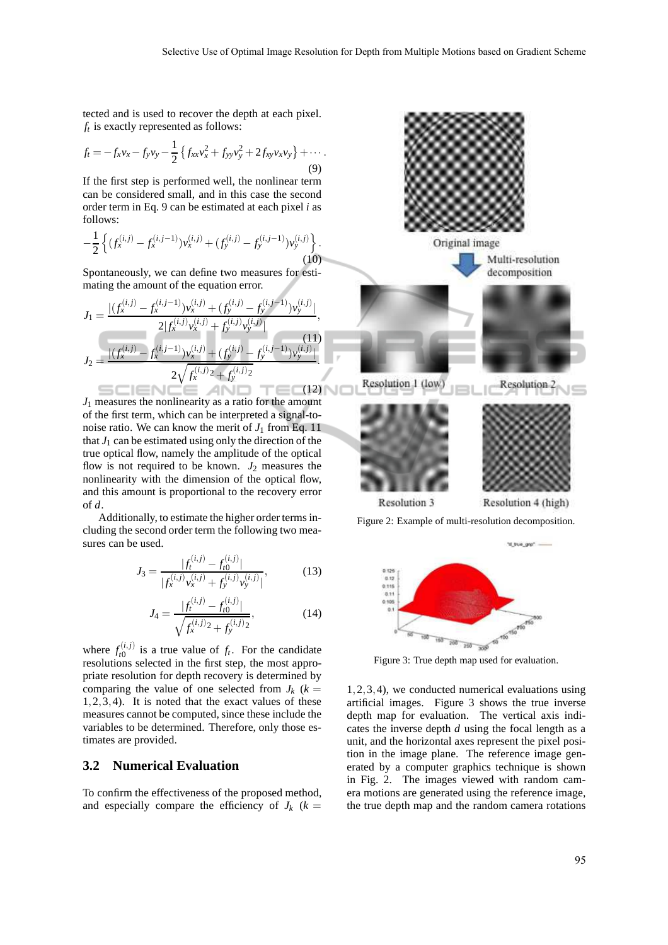tected and is used to recover the depth at each pixel. *ft* is exactly represented as follows:

$$
f_t = -f_x v_x - f_y v_y - \frac{1}{2} \left\{ f_{xx} v_x^2 + f_{yy} v_y^2 + 2 f_{xy} v_x v_y \right\} + \cdots
$$
\n(9)

If the first step is performed well, the nonlinear term can be considered small, and in this case the second order term in Eq. 9 can be estimated at each pixel *i* as follows:

$$
-\frac{1}{2}\left\{ (f_x^{(i,j)} - f_x^{(i,j-1)})v_x^{(i,j)} + (f_y^{(i,j)} - f_y^{(i,j-1)})v_y^{(i,j)} \right\}.
$$
\n(10)

Spontaneously, we can define two measures for estimating the amount of the equation error.

$$
J_1 = \frac{|(f_x^{(i,j)} - f_x^{(i,j-1)})v_x^{(i,j)} + (f_y^{(i,j)} - f_y^{(i,j-1)})v_y^{(i,j)}|}{2|f_x^{(i,j)}v_x^{(i,j)} + f_y^{(i,j)}v_y^{(i,j)}|},
$$
  
\n
$$
J_2 = \frac{|(f_x^{(i,j)} - f_x^{(i,j-1)})v_x^{(i,j)} + (f_y^{(i,j)} - f_y^{(i,j-1)})v_y^{(i,j)}|}{2\sqrt{f_x^{(i,j)} + f_y^{(i,j)}2}}.
$$
\n(11)

*J*<sup>1</sup> measures the nonlinearity as a ratio for the amount of the first term, which can be interpreted a signal-tonoise ratio. We can know the merit of  $J_1$  from Eq. 11 that  $J_1$  can be estimated using only the direction of the true optical flow, namely the amplitude of the optical flow is not required to be known.  $J_2$  measures the nonlinearity with the dimension of the optical flow, and this amount is proportional to the recovery error of *d*.

Additionally, to estimate the higher order terms including the second order term the following two measures can be used.

$$
J_3 = \frac{|f_t^{(i,j)} - f_{t0}^{(i,j)}|}{|f_x^{(i,j)}v_x^{(i,j)} + f_y^{(i,j)}v_y^{(i,j)}|},
$$
(13)

$$
J_4 = \frac{|f_t^{(i,j)} - f_{t0}^{(i,j)}|}{\sqrt{f_x^{(i,j)}^2 + f_y^{(i,j)}^2}},\tag{14}
$$

where  $f_{t0}^{(i,j)}$  $t_0^{(t,j)}$  is a true value of  $f_t$ . For the candidate resolutions selected in the first step, the most appropriate resolution for depth recovery is determined by comparing the value of one selected from  $J_k$  ( $k =$ 1,2,3,4). It is noted that the exact values of these measures cannot be computed, since these include the variables to be determined. Therefore, only those estimates are provided.

#### **3.2 Numerical Evaluation**

To confirm the effectiveness of the proposed method, and especially compare the efficiency of  $J_k$  ( $k =$ 



Figure 2: Example of multi-resolution decomposition.



1,2,3,4), we conducted numerical evaluations using artificial images. Figure 3 shows the true inverse depth map for evaluation. The vertical axis indicates the inverse depth *d* using the focal length as a unit, and the horizontal axes represent the pixel position in the image plane. The reference image generated by a computer graphics technique is shown in Fig. 2. The images viewed with random camera motions are generated using the reference image, the true depth map and the random camera rotations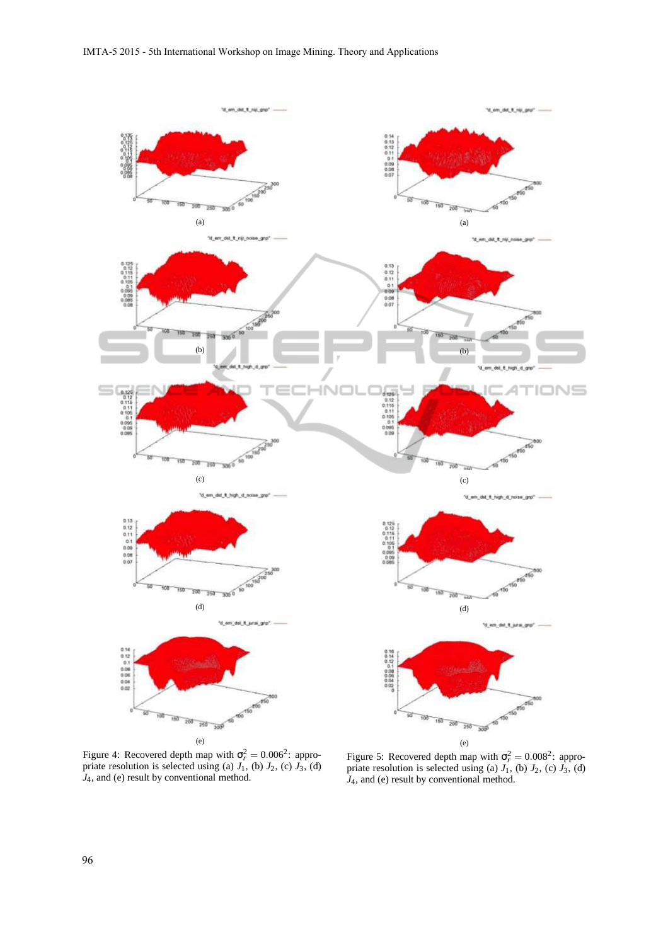

Figure 4: Recovered depth map with  $\sigma_r^2 = 0.006^2$ : appropriate resolution is selected using (a)  $J_1$ , (b)  $J_2$ , (c)  $J_3$ , (d)  $J_4$ , and (e) result by conventional method.

Figure 5: Recovered depth map with  $\sigma_r^2 = 0.008^2$ : appropriate resolution is selected using (a)  $J_1$ , (b)  $J_2$ , (c)  $J_3$ , (d) *J*4, and (e) result by conventional method.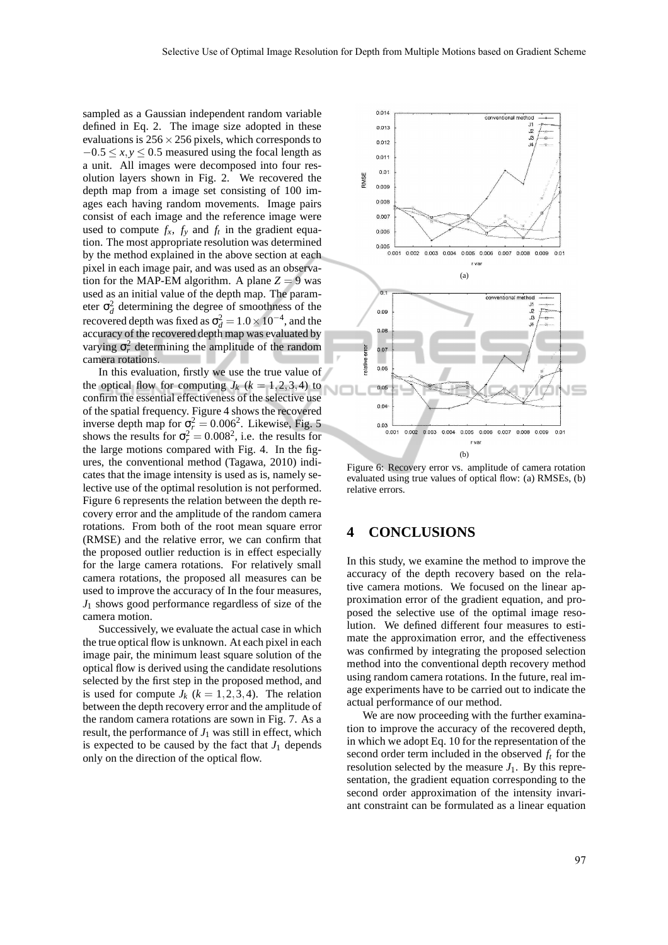sampled as a Gaussian independent random variable defined in Eq. 2. The image size adopted in these evaluations is  $256 \times 256$  pixels, which corresponds to  $-0.5 \le x, y \le 0.5$  measured using the focal length as a unit. All images were decomposed into four resolution layers shown in Fig. 2. We recovered the depth map from a image set consisting of 100 images each having random movements. Image pairs consist of each image and the reference image were used to compute  $f_x$ ,  $f_y$  and  $f_t$  in the gradient equation. The most appropriate resolution was determined by the method explained in the above section at each pixel in each image pair, and was used as an observation for the MAP-EM algorithm. A plane  $Z = 9$  was used as an initial value of the depth map. The parameter  $\sigma_d^2$  determining the degree of smoothness of the recovered depth was fixed as  $\sigma_d^2 = 1.0 \times 10^{-4}$ , and the accuracy of the recovered depth map was evaluated by varying  $\sigma_r^2$  determining the amplitude of the random camera rotations.

In this evaluation, firstly we use the true value of the optical flow for computing  $J_k$  ( $k = 1, 2, 3, 4$ ) to confirm the essential effectiveness of the selective use of the spatial frequency. Figure 4 shows the recovered inverse depth map for  $\sigma_r^2 = 0.006^2$ . Likewise, Fig. 5 shows the results for  $\sigma_r^2 = 0.008^2$ , i.e. the results for the large motions compared with Fig. 4. In the figures, the conventional method (Tagawa, 2010) indicates that the image intensity is used as is, namely selective use of the optimal resolution is not performed. Figure 6 represents the relation between the depth recovery error and the amplitude of the random camera rotations. From both of the root mean square error (RMSE) and the relative error, we can confirm that the proposed outlier reduction is in effect especially for the large camera rotations. For relatively small camera rotations, the proposed all measures can be used to improve the accuracy of In the four measures, *J*<sup>1</sup> shows good performance regardless of size of the camera motion.

Successively, we evaluate the actual case in which the true optical flow is unknown. At each pixel in each image pair, the minimum least square solution of the optical flow is derived using the candidate resolutions selected by the first step in the proposed method, and is used for compute  $J_k$  ( $k = 1, 2, 3, 4$ ). The relation between the depth recovery error and the amplitude of the random camera rotations are sown in Fig. 7. As a result, the performance of  $J_1$  was still in effect, which is expected to be caused by the fact that  $J_1$  depends only on the direction of the optical flow.



Figure 6: Recovery error vs. amplitude of camera rotation evaluated using true values of optical flow: (a) RMSEs, (b) relative errors.

#### **4 CONCLUSIONS**

In this study, we examine the method to improve the accuracy of the depth recovery based on the relative camera motions. We focused on the linear approximation error of the gradient equation, and proposed the selective use of the optimal image resolution. We defined different four measures to estimate the approximation error, and the effectiveness was confirmed by integrating the proposed selection method into the conventional depth recovery method using random camera rotations. In the future, real image experiments have to be carried out to indicate the actual performance of our method.

We are now proceeding with the further examination to improve the accuracy of the recovered depth, in which we adopt Eq. 10 for the representation of the second order term included in the observed *f<sup>t</sup>* for the resolution selected by the measure  $J_1$ . By this representation, the gradient equation corresponding to the second order approximation of the intensity invariant constraint can be formulated as a linear equation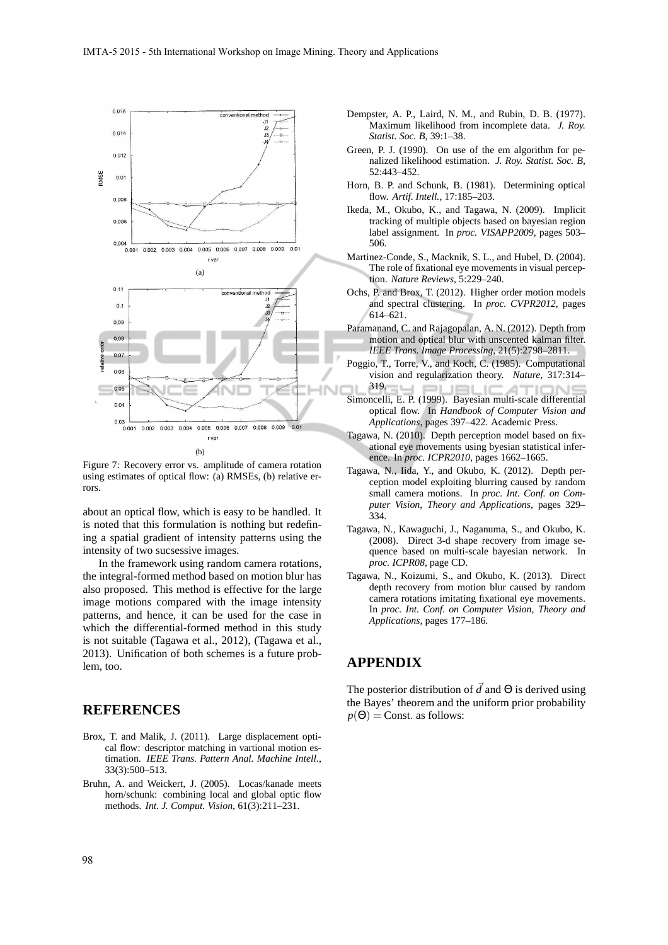

Figure 7: Recovery error vs. amplitude of camera rotation using estimates of optical flow: (a) RMSEs, (b) relative errors.

about an optical flow, which is easy to be handled. It is noted that this formulation is nothing but redefining a spatial gradient of intensity patterns using the intensity of two sucsessive images.

In the framework using random camera rotations, the integral-formed method based on motion blur has also proposed. This method is effective for the large image motions compared with the image intensity patterns, and hence, it can be used for the case in which the differential-formed method in this study is not suitable (Tagawa et al., 2012), (Tagawa et al., 2013). Unification of both schemes is a future problem, too.

### **REFERENCES**

- Brox, T. and Malik, J. (2011). Large displacement optical flow: descriptor matching in vartional motion estimation. *IEEE Trans. Pattern Anal. Machine Intell.*, 33(3):500–513.
- Bruhn, A. and Weickert, J. (2005). Locas/kanade meets horn/schunk: combining local and global optic flow methods. *Int. J. Comput. Vision*, 61(3):211–231.
- Dempster, A. P., Laird, N. M., and Rubin, D. B. (1977). Maximum likelihood from incomplete data. *J. Roy. Statist. Soc. B*, 39:1–38.
- Green, P. J. (1990). On use of the em algorithm for penalized likelihood estimation. *J. Roy. Statist. Soc. B*, 52:443–452.
- Horn, B. P. and Schunk, B. (1981). Determining optical flow. *Artif. Intell.*, 17:185–203.
- Ikeda, M., Okubo, K., and Tagawa, N. (2009). Implicit tracking of multiple objects based on bayesian region label assignment. In *proc. VISAPP2009*, pages 503– 506.
- Martinez-Conde, S., Macknik, S. L., and Hubel, D. (2004). The role of fixational eve movements in visual perception. *Nature Reviews*, 5:229–240.
- Ochs, P. and Brox, T. (2012). Higher order motion models and spectral clustering. In *proc. CVPR2012*, pages 614–621.
- Paramanand, C. and Rajagopalan, A. N. (2012). Depth from motion and optical blur with unscented kalman filter. *IEEE Trans. Image Processing*, 21(5):2798–2811.
- Poggio, T., Torre, V., and Koch, C. (1985). Computational vision and regularization theory. *Nature*, 317:314–
- 319. . 10 Simoncelli, E. P. (1999). Bayesian multi-scale differential optical flow. In *Handbook of Computer Vision and Applications*, pages 397–422. Academic Press.
- Tagawa, N. (2010). Depth perception model based on fixational eye movements using byesian statistical inference. In *proc. ICPR2010*, pages 1662–1665.
- Tagawa, N., Iida, Y., and Okubo, K. (2012). Depth perception model exploiting blurring caused by random small camera motions. In *proc. Int. Conf. on Computer Vision, Theory and Applications*, pages 329– 334.
- Tagawa, N., Kawaguchi, J., Naganuma, S., and Okubo, K. (2008). Direct 3-d shape recovery from image sequence based on multi-scale bayesian network. In *proc. ICPR08*, page CD.
- Tagawa, N., Koizumi, S., and Okubo, K. (2013). Direct depth recovery from motion blur caused by random camera rotations imitating fixational eye movements. In *proc. Int. Conf. on Computer Vision, Theory and Applications*, pages 177–186.

### **APPENDIX**

The posterior distribution of  $\overrightarrow{d}$  and  $\Theta$  is derived using the Bayes' theorem and the uniform prior probability  $p(\Theta)$  = Const. as follows: